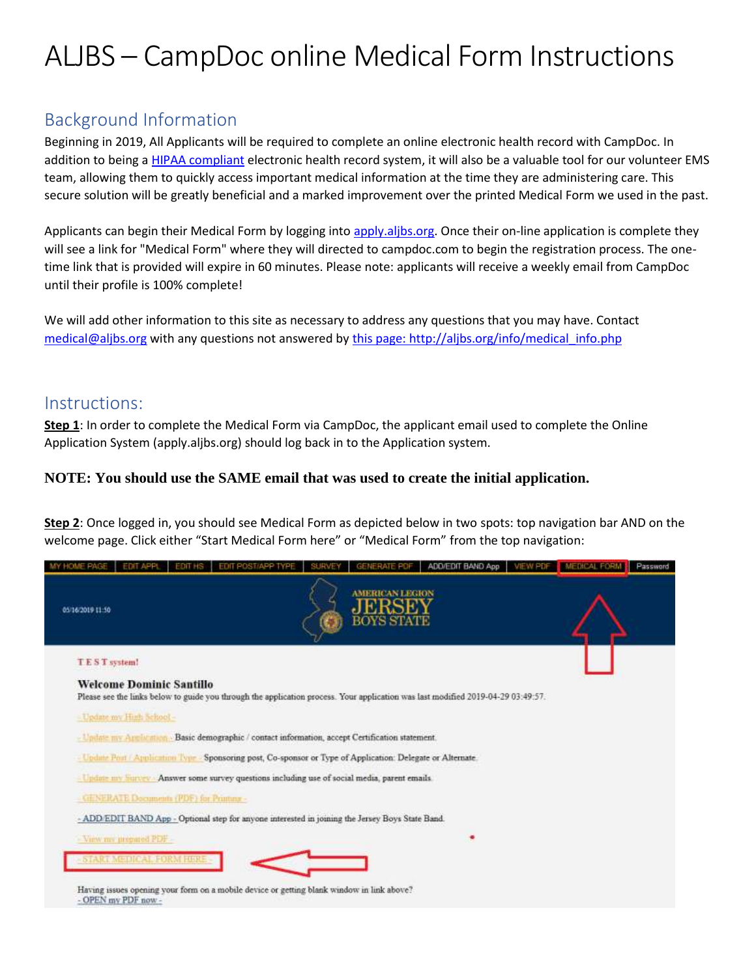# ALJBS – CampDoc online Medical Form Instructions

## Background Information

Beginning in 2019, All Applicants will be required to complete an online electronic health record with CampDoc. In addition to being [a HIPAA compliant](https://www.hhs.gov/hipaa/for-professionals/security/laws-regulations/index.html) electronic health record system, it will also be a valuable tool for our volunteer EMS team, allowing them to quickly access important medical information at the time they are administering care. This secure solution will be greatly beneficial and a marked improvement over the printed Medical Form we used in the past.

Applicants can begin their Medical Form by logging int[o apply.aljbs.org.](http://aljbs.org/apply) Once their on-line application is complete they will see a link for "Medical Form" where they will directed to campdoc.com to begin the registration process. The onetime link that is provided will expire in 60 minutes. Please note: applicants will receive a weekly email from CampDoc until their profile is 100% complete!

We will add other information to this site as necessary to address any questions that you may have. Contact [medical@aljbs.org](http://aljbs.org/email.php?st=med&sj=Medical%20Issue%20or%20Question) with any questions not answered by [this page: http://aljbs.org/info/medical\\_info.php](http://aljbs.org/info/medical_info.php)

### Instructions:

**Step 1**: In order to complete the Medical Form via CampDoc, the applicant email used to complete the Online Application System (apply.aljbs.org) should log back in to the Application system.

#### **NOTE: You should use the SAME email that was used to create the initial application.**

**Step 2**: Once logged in, you should see Medical Form as depicted below in two spots: top navigation bar AND on the welcome page. Click either "Start Medical Form here" or "Medical Form" from the top navigation: